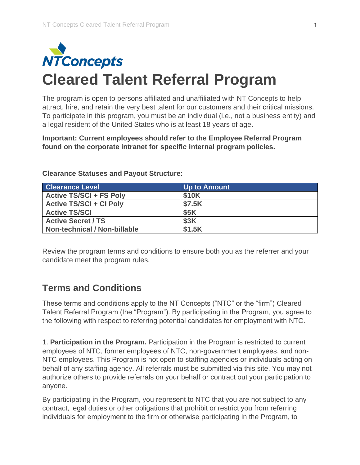

The program is open to persons affiliated and unaffiliated with NT Concepts to help attract, hire, and retain the very best talent for our customers and their critical missions. To participate in this program, you must be an individual (i.e., not a business entity) and a legal resident of the United States who is at least 18 years of age.

**Important: Current employees should refer to the Employee Referral Program found on the corporate intranet for specific internal program policies.**

| <b>Clearance Level</b>              | Up to Amount |
|-------------------------------------|--------------|
| <b>Active TS/SCI + FS Poly</b>      | \$10K        |
| <b>Active TS/SCI + CI Poly</b>      | \$7.5K       |
| <b>Active TS/SCI</b>                | <b>\$5K</b>  |
| <b>Active Secret / TS</b>           | <b>\$3K</b>  |
| <b>Non-technical / Non-billable</b> | \$1.5K       |

**Clearance Statuses and Payout Structure:**

Review the program terms and conditions to ensure both you as the referrer and your candidate meet the program rules.

## **Terms and Conditions**

These terms and conditions apply to the NT Concepts ("NTC" or the "firm") Cleared Talent Referral Program (the "Program"). By participating in the Program, you agree to the following with respect to referring potential candidates for employment with NTC.

1. **Participation in the Program.** Participation in the Program is restricted to current employees of NTC, former employees of NTC, non-government employees, and non-NTC employees. This Program is not open to staffing agencies or individuals acting on behalf of any staffing agency. All referrals must be submitted via this site. You may not authorize others to provide referrals on your behalf or contract out your participation to anyone.

By participating in the Program, you represent to NTC that you are not subject to any contract, legal duties or other obligations that prohibit or restrict you from referring individuals for employment to the firm or otherwise participating in the Program, to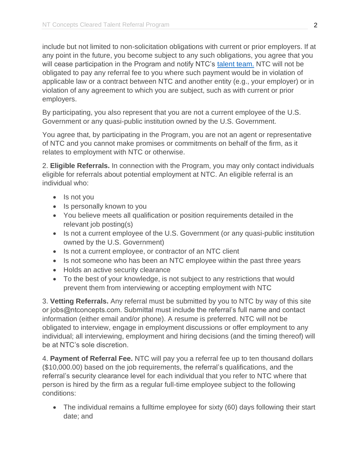include but not limited to non-solicitation obligations with current or prior employers. If at any point in the future, you become subject to any such obligations, you agree that you will cease participation in the Program and notify NTC's [talent team.](mailto:jobs@ntconcepts.com) NTC will not be obligated to pay any referral fee to you where such payment would be in violation of applicable law or a contract between NTC and another entity (e.g., your employer) or in violation of any agreement to which you are subject, such as with current or prior employers.

By participating, you also represent that you are not a current employee of the U.S. Government or any quasi-public institution owned by the U.S. Government.

You agree that, by participating in the Program, you are not an agent or representative of NTC and you cannot make promises or commitments on behalf of the firm, as it relates to employment with NTC or otherwise.

2. **Eligible Referrals.** In connection with the Program, you may only contact individuals eligible for referrals about potential employment at NTC. An eligible referral is an individual who:

- Is not you
- Is personally known to you
- You believe meets all qualification or position requirements detailed in the relevant job posting(s)
- Is not a current employee of the U.S. Government (or any quasi-public institution owned by the U.S. Government)
- Is not a current employee, or contractor of an NTC client
- Is not someone who has been an NTC employee within the past three years
- Holds an active security clearance
- To the best of your knowledge, is not subject to any restrictions that would prevent them from interviewing or accepting employment with NTC

3. **Vetting Referrals.** Any referral must be submitted by you to NTC by way of this site or jobs@ntconcepts.com. Submittal must include the referral's full name and contact information (either email and/or phone). A resume is preferred. NTC will not be obligated to interview, engage in employment discussions or offer employment to any individual; all interviewing, employment and hiring decisions (and the timing thereof) will be at NTC's sole discretion.

4. **Payment of Referral Fee.** NTC will pay you a referral fee up to ten thousand dollars (\$10,000.00) based on the job requirements, the referral's qualifications, and the referral's security clearance level for each individual that you refer to NTC where that person is hired by the firm as a regular full-time employee subject to the following conditions:

• The individual remains a fulltime employee for sixty (60) days following their start date; and